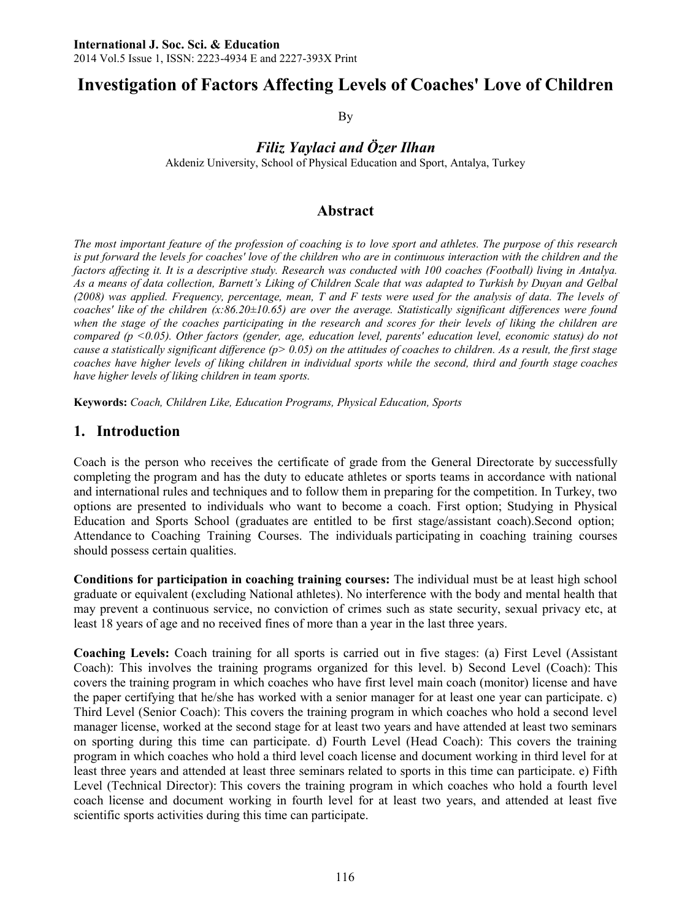# **Investigation of Factors Affecting Levels of Coaches' Love of Children**

By

*Filiz Yaylaci and Özer Ilhan*

Akdeniz University, School of Physical Education and Sport, Antalya, Turkey

### **Abstract**

*The most important feature of the profession of coaching is to love sport and athletes. The purpose of this research*  is put forward the levels for coaches' love of the children who are in continuous interaction with the children and the *factors affecting it. It is a descriptive study. Research was conducted with 100 coaches (Football) living in Antalya. As a means of data collection, Barnett's Liking of Children Scale that was adapted to Turkish by Duyan and Gelbal (2008) was applied. Frequency, percentage, mean, T and F tests were used for the analysis of data. The levels of coaches' like of the children (x:86.20±10.65) are over the average. Statistically significant differences were found when the stage of the coaches participating in the research and scores for their levels of liking the children are compared (p <0.05). Other factors (gender, age, education level, parents' education level, economic status) do not cause a statistically significant difference (p> 0.05) on the attitudes of coaches to children. As a result, the first stage coaches have higher levels of liking children in individual sports while the second, third and fourth stage coaches have higher levels of liking children in team sports.* 

**Keywords:** *Coach, Children Like, Education Programs, Physical Education, Sports*

### **1. Introduction**

Coach is the person who receives the certificate of grade from the General Directorate by successfully completing the program and has the duty to educate athletes or sports teams in accordance with national and international rules and techniques and to follow them in preparing for the competition. In Turkey, two options are presented to individuals who want to become a coach. First option; Studying in Physical Education and Sports School (graduates are entitled to be first stage/assistant coach).Second option; Attendance to Coaching Training Courses. The individuals participating in coaching training courses should possess certain qualities.

**Conditions for participation in coaching training courses:** The individual must be at least high school graduate or equivalent (excluding National athletes). No interference with the body and mental health that may prevent a continuous service, no conviction of crimes such as state security, sexual privacy etc, at least 18 years of age and no received fines of more than a year in the last three years.

**Coaching Levels:** Coach training for all sports is carried out in five stages: (a) First Level (Assistant Coach): This involves the training programs organized for this level. b) Second Level (Coach): This covers the training program in which coaches who have first level main coach (monitor) license and have the paper certifying that he/she has worked with a senior manager for at least one year can participate. c) Third Level (Senior Coach): This covers the training program in which coaches who hold a second level manager license, worked at the second stage for at least two years and have attended at least two seminars on sporting during this time can participate. d) Fourth Level (Head Coach): This covers the training program in which coaches who hold a third level coach license and document working in third level for at least three years and attended at least three seminars related to sports in this time can participate. e) Fifth Level (Technical Director): This covers the training program in which coaches who hold a fourth level coach license and document working in fourth level for at least two years, and attended at least five scientific sports activities during this time can participate.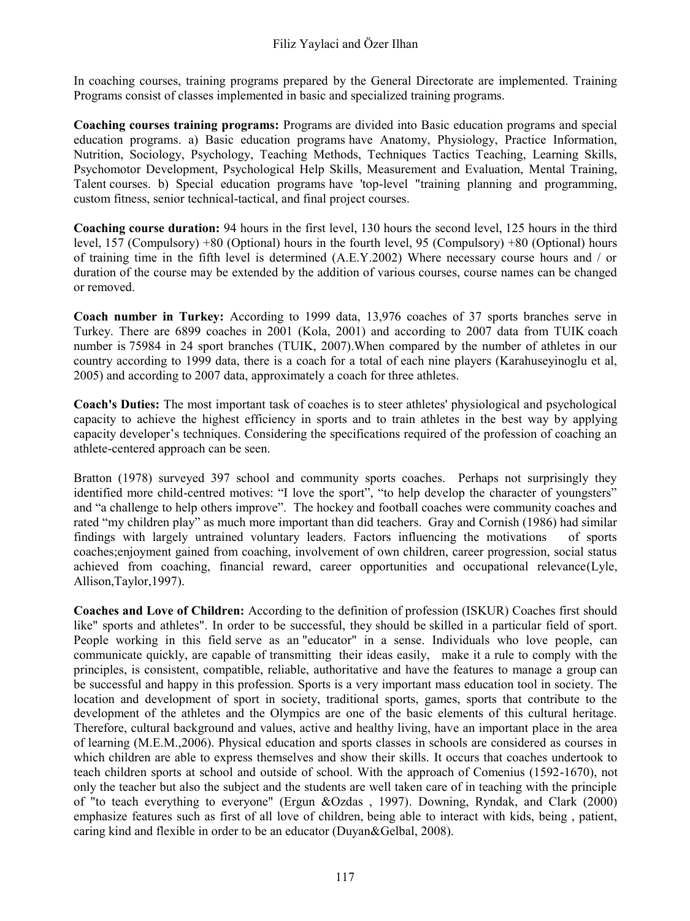In coaching courses, training programs prepared by the General Directorate are implemented. Training Programs consist of classes implemented in basic and specialized training programs.

**Coaching courses training programs:** Programs are divided into Basic education programs and special education programs. a) Basic education programs have Anatomy, Physiology, Practice Information, Nutrition, Sociology, Psychology, Teaching Methods, Techniques Tactics Teaching, Learning Skills, Psychomotor Development, Psychological Help Skills, Measurement and Evaluation, Mental Training, Talent courses. b) Special education programs have 'top-level "training planning and programming, custom fitness, senior technical-tactical, and final project courses.

**Coaching course duration:** 94 hours in the first level, 130 hours the second level, 125 hours in the third level, 157 (Compulsory) +80 (Optional) hours in the fourth level, 95 (Compulsory) +80 (Optional) hours of training time in the fifth level is determined (A.E.Y.2002) Where necessary course hours and / or duration of the course may be extended by the addition of various courses, course names can be changed or removed.

**Coach number in Turkey:** According to 1999 data, 13,976 coaches of 37 sports branches serve in Turkey. There are 6899 coaches in 2001 (Kola, 2001) and according to 2007 data from TUIK coach number is 75984 in 24 sport branches (TUIK, 2007).When compared by the number of athletes in our country according to 1999 data, there is a coach for a total of each nine players (Karahuseyinoglu et al, 2005) and according to 2007 data, approximately a coach for three athletes.

**Coach's Duties:** The most important task of coaches is to steer athletes' physiological and psychological capacity to achieve the highest efficiency in sports and to train athletes in the best way by applying capacity developer's techniques. Considering the specifications required of the profession of coaching an athlete-centered approach can be seen.

Bratton (1978) surveyed 397 school and community sports coaches. Perhaps not surprisingly they identified more child-centred motives: "I love the sport", "to help develop the character of youngsters" and "a challenge to help others improve". The hockey and football coaches were community coaches and rated "my children play" as much more important than did teachers. Gray and Cornish (1986) had similar findings with largely untrained voluntary leaders. Factors influencing the motivations of sports coaches;enjoyment gained from coaching, involvement of own children, career progression, social status achieved from coaching, financial reward, career opportunities and occupational relevance(Lyle, Allison,Taylor,1997).

**Coaches and Love of Children:** According to the definition of profession (ISKUR) Coaches first should like" sports and athletes". In order to be successful, they should be skilled in a particular field of sport. People working in this field serve as an "educator" in a sense. Individuals who love people, can communicate quickly, are capable of transmitting their ideas easily, make it a rule to comply with the principles, is consistent, compatible, reliable, authoritative and have the features to manage a group can be successful and happy in this profession. Sports is a very important mass education tool in society. The location and development of sport in society, traditional sports, games, sports that contribute to the development of the athletes and the Olympics are one of the basic elements of this cultural heritage. Therefore, cultural background and values, active and healthy living, have an important place in the area of learning (M.E.M.,2006). Physical education and sports classes in schools are considered as courses in which children are able to express themselves and show their skills. It occurs that coaches undertook to teach children sports at school and outside of school. With the approach of Comenius (1592-1670), not only the teacher but also the subject and the students are well taken care of in teaching with the principle of "to teach everything to everyone" (Ergun &Ozdas , 1997). Downing, Ryndak, and Clark (2000) emphasize features such as first of all love of children, being able to interact with kids, being , patient, caring kind and flexible in order to be an educator (Duyan&Gelbal, 2008).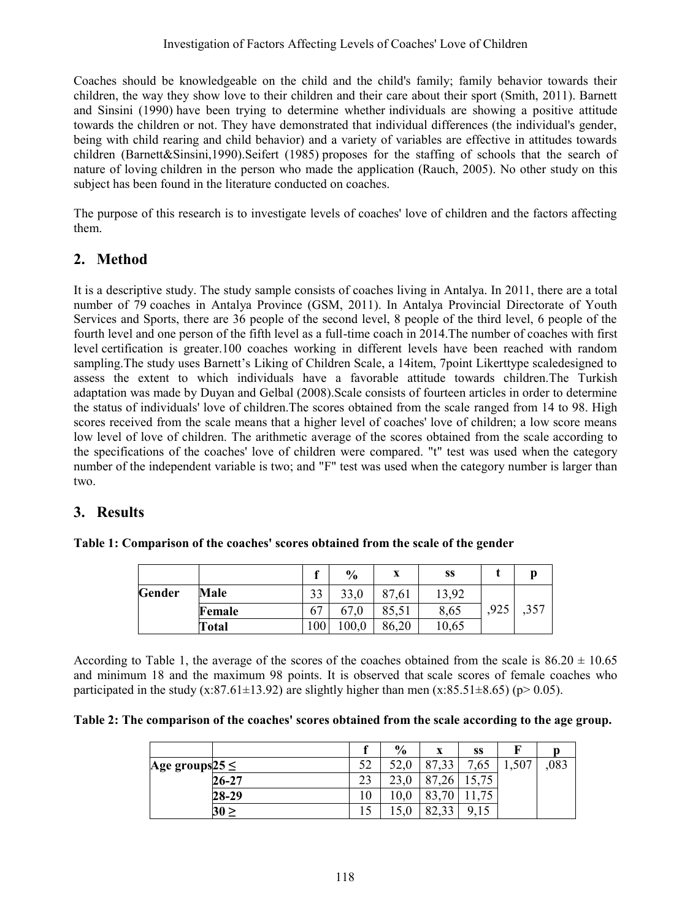Coaches should be knowledgeable on the child and the child's family; family behavior towards their children, the way they show love to their children and their care about their sport (Smith, 2011). Barnett and Sinsini (1990) have been trying to determine whether individuals are showing a positive attitude towards the children or not. They have demonstrated that individual differences (the individual's gender, being with child rearing and child behavior) and a variety of variables are effective in attitudes towards children (Barnett&Sinsini,1990).Seifert (1985) proposes for the staffing of schools that the search of nature of loving children in the person who made the application (Rauch, 2005). No other study on this subject has been found in the literature conducted on coaches.

The purpose of this research is to investigate levels of coaches' love of children and the factors affecting them.

# **2. Method**

It is a descriptive study. The study sample consists of coaches living in Antalya. In 2011, there are a total number of 79 coaches in Antalya Province (GSM, 2011). In Antalya Provincial Directorate of Youth Services and Sports, there are 36 people of the second level, 8 people of the third level, 6 people of the fourth level and one person of the fifth level as a full-time coach in 2014.The number of coaches with first level certification is greater.100 coaches working in different levels have been reached with random sampling.The study uses Barnett's Liking of Children Scale, a 14item, 7point Likerttype scaledesigned to assess the extent to which individuals have a favorable attitude towards children.The Turkish adaptation was made by Duyan and Gelbal (2008).Scale consists of fourteen articles in order to determine the status of individuals' love of children.The scores obtained from the scale ranged from 14 to 98. High scores received from the scale means that a higher level of coaches' love of children; a low score means low level of love of children. The arithmetic average of the scores obtained from the scale according to the specifications of the coaches' love of children were compared. "t" test was used when the category number of the independent variable is two; and "F" test was used when the category number is larger than two.

# **3. Results**

| Table 1: Comparison of the coaches' scores obtained from the scale of the gender |  |  |
|----------------------------------------------------------------------------------|--|--|
|----------------------------------------------------------------------------------|--|--|

|        |        | c             | $\frac{6}{9}$ | X     | SS    |      |      |
|--------|--------|---------------|---------------|-------|-------|------|------|
| Gender | Male   | 33            | 33,0          | 87,61 | 13,92 |      |      |
|        | Female | ∼−<br>67      | 67.0          | 85,51 | 8,65  | .925 | ,357 |
|        | Total  | $100^{\circ}$ | 0.001         | 86,20 | 10.65 |      |      |

According to Table 1, the average of the scores of the coaches obtained from the scale is  $86.20 \pm 10.65$ and minimum 18 and the maximum 98 points. It is observed that scale scores of female coaches who participated in the study  $(x:87.61\pm13.92)$  are slightly higher than men  $(x:85.51\pm8.65)$  (p> 0.05).

|  | Table 2: The comparison of the coaches' scores obtained from the scale according to the age group. |
|--|----------------------------------------------------------------------------------------------------|
|--|----------------------------------------------------------------------------------------------------|

|                      |           |           | $\%$ | X                 | SS   |       |     |
|----------------------|-----------|-----------|------|-------------------|------|-------|-----|
| Age groups $25 \leq$ |           | 52        |      | oп<br>.33         | '.65 | 1,507 | 083 |
|                      | 26-27     | ົາ<br>ر ے |      | $^{\circ}$<br>.26 | 75   |       |     |
|                      | 28-29     | 10        |      | $\pi$<br>oっ       |      |       |     |
|                      | $30 \geq$ |           |      | 22<br>oኅ<br>02.JJ | Q    |       |     |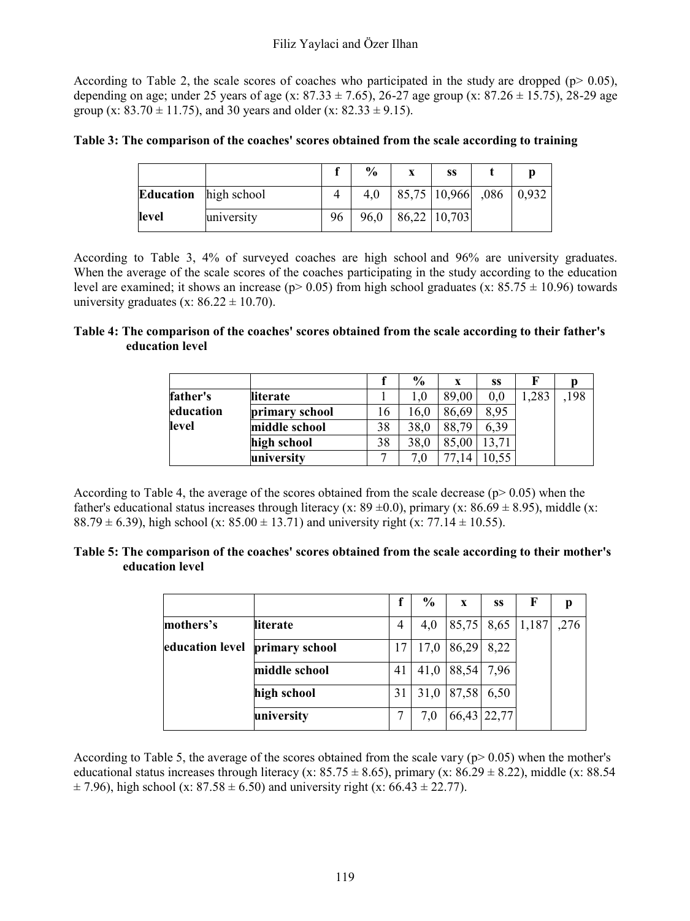According to Table 2, the scale scores of coaches who participated in the study are dropped ( $p$   $> 0.05$ ), depending on age; under 25 years of age (x: 87.33  $\pm$  7.65), 26-27 age group (x: 87.26  $\pm$  15.75), 28-29 age group (x:  $83.70 \pm 11.75$ ), and 30 years and older (x:  $82.33 \pm 9.15$ ).

**Table 3: The comparison of the coaches' scores obtained from the scale according to training** 

|                  |             |    | $\frac{0}{0}$ | X | SS                     |  |
|------------------|-------------|----|---------------|---|------------------------|--|
| <b>Education</b> | high school |    | 4.0           |   | 85,75   10,966   0,932 |  |
| level            | university  | 96 | 96,0          |   | 86,22 10,703           |  |

According to Table 3, 4% of surveyed coaches are high school and 96% are university graduates. When the average of the scale scores of the coaches participating in the study according to the education level are examined; it shows an increase ( $p$  > 0.05) from high school graduates (x:  $85.75 \pm 10.96$ ) towards university graduates (x:  $86.22 \pm 10.70$ ).

#### **Table 4: The comparison of the coaches' scores obtained from the scale according to their father's education level**

|           |                |    | $\frac{6}{9}$ | X     | SS   |      |     |
|-----------|----------------|----|---------------|-------|------|------|-----|
| father's  | literate       |    | $1.0\,$       | 89.00 | 0.0  | ,283 | 198 |
| education | primary school | 16 | 16.0          | 86,69 | 8.95 |      |     |
| level     | middle school  | 38 | 38.0          | 88.79 | 6.39 |      |     |
|           | high school    | 38 | 38.0          | 85.00 |      |      |     |
|           | university     |    | 7.0           |       |      |      |     |

According to Table 4, the average of the scores obtained from the scale decrease ( $p$  > 0.05) when the father's educational status increases through literacy (x:  $89 \pm 0.0$ ), primary (x:  $86.69 \pm 8.95$ ), middle (x: 88.79  $\pm$  6.39), high school (x: 85.00  $\pm$  13.71) and university right (x: 77.14  $\pm$  10.55).

#### **Table 5: The comparison of the coaches' scores obtained from the scale according to their mother's education level**

|                 |                |                | $\frac{6}{9}$ | X          | SS          | F                      |      |
|-----------------|----------------|----------------|---------------|------------|-------------|------------------------|------|
| mothers's       | literate       | $\overline{4}$ | 4,0           |            |             | $ 85,75 $ 8,65   1,187 | ,276 |
| education level | primary school |                | 17,0          | 86,29      | 8,22        |                        |      |
|                 | middle school  | 41             | 41,0          | 88,54 7,96 |             |                        |      |
|                 | high school    | 31             | 31,0          | 87,58      | 6,50        |                        |      |
|                 | university     |                | 7.0           |            | 66,43 22,77 |                        |      |

According to Table 5, the average of the scores obtained from the scale vary ( $p$  > 0.05) when the mother's educational status increases through literacy (x: 85.75  $\pm$  8.65), primary (x: 86.29  $\pm$  8.22), middle (x: 88.54  $\pm$  7.96), high school (x: 87.58  $\pm$  6.50) and university right (x: 66.43  $\pm$  22.77).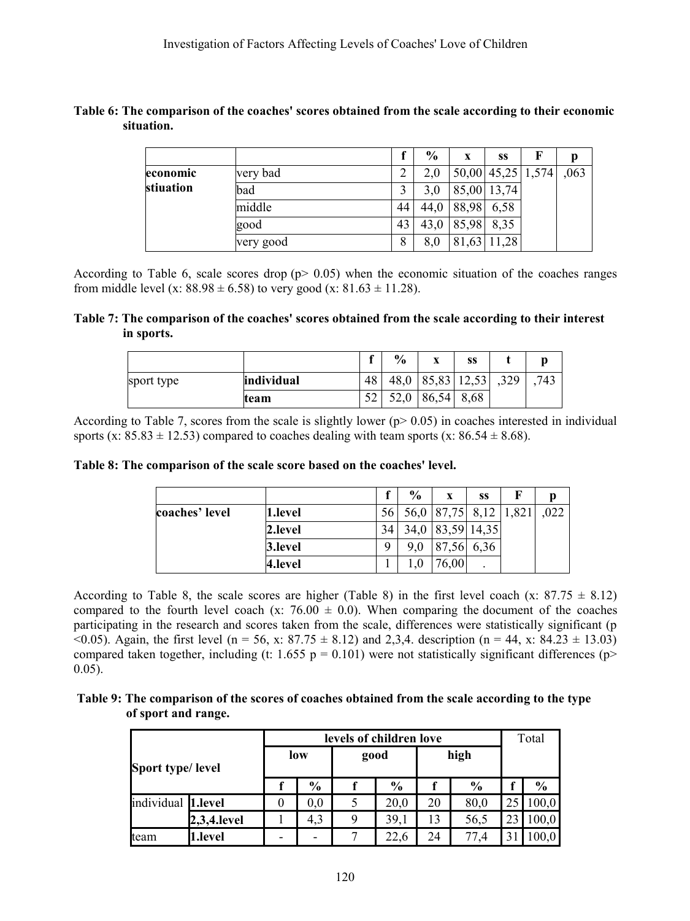#### **Table 6: The comparison of the coaches' scores obtained from the scale according to their economic situation.**

|           |           |    | $\frac{6}{9}$ | X          | SS          | F                 |      |
|-----------|-----------|----|---------------|------------|-------------|-------------------|------|
| economic  | very bad  |    | 2,0           |            |             | 50,00 45,25 1,574 | ,063 |
| stiuation | bad       |    | 3,0           |            | 85,00 13,74 |                   |      |
|           | middle    | 44 | 44.0          | 88,98      | 6,58        |                   |      |
|           | good      | 43 | 43.0          | 85,98 8,35 |             |                   |      |
|           | very good | 8  | 8,0           |            | 81,63 11,28 |                   |      |

According to Table 6, scale scores drop ( $p > 0.05$ ) when the economic situation of the coaches ranges from middle level (x:  $88.98 \pm 6.58$ ) to very good (x:  $81.63 \pm 11.28$ ).

#### **Table 7: The comparison of the coaches' scores obtained from the scale according to their interest in sports.**

|            |            | $\bullet$  | $\frac{6}{6}$ | $\mathbf{v}$<br>$\boldsymbol{\Lambda}$ | SS          |      | Ŋ   |
|------------|------------|------------|---------------|----------------------------------------|-------------|------|-----|
| sport type | individual | 48         | 48,0          |                                        | 85,83 12,53 | ,329 | 743 |
|            | team       | - ^<br>ے ر | 52,0          | 86,54                                  | 8,68        |      |     |

According to Table 7, scores from the scale is slightly lower  $(p>0.05)$  in coaches interested in individual sports (x:  $85.83 \pm 12.53$ ) compared to coaches dealing with team sports (x:  $86.54 \pm 8.68$ ).

#### **Table 8: The comparison of the scale score based on the coaches' level.**

|                |         |      | $\frac{0}{0}$ | X                     | SS   | F |      |
|----------------|---------|------|---------------|-----------------------|------|---|------|
| coaches' level | 1.level | 56 I |               | 56,0 87,75 8,12 1,821 |      |   | .022 |
|                | 2.level | 34   | 34,0          | 83,59 14,35           |      |   |      |
|                | 3.level | Q    | 9.0           | 87,56                 | 6,36 |   |      |
|                | 4.level |      |               | 6,00                  |      |   |      |

According to Table 8, the scale scores are higher (Table 8) in the first level coach (x:  $87.75 \pm 8.12$ ) compared to the fourth level coach (x:  $76.00 \pm 0.0$ ). When comparing the document of the coaches participating in the research and scores taken from the scale, differences were statistically significant (p  $(0.05)$ . Again, the first level (n = 56, x: 87.75  $\pm$  8.12) and 2,3,4. description (n = 44, x: 84.23  $\pm$  13.03) compared taken together, including (t: 1.655 p = 0.101) were not statistically significant differences (p> 0.05).

### **Table 9: The comparison of the scores of coaches obtained from the scale according to the type of sport and range.**

|                    |             |     | levels of children love |      |               | Total |               |    |               |
|--------------------|-------------|-----|-------------------------|------|---------------|-------|---------------|----|---------------|
| Sport type/level   |             | low |                         | good |               |       | high          |    |               |
|                    |             |     | $\frac{0}{0}$           |      | $\frac{0}{0}$ |       | $\frac{0}{0}$ |    | $\frac{0}{0}$ |
| individual 1.level |             | 0   | 0.0                     |      | 20.0          | 20    | 80.0          | 25 | 100,0         |
|                    | 2,3,4.level |     | 4,3                     | Q    | 39,1          | 13    | 56.5          | 23 | 100,0         |
| team               | l.level     |     |                         |      | 22,6          | 24    | 77.4          | 31 | 0.00          |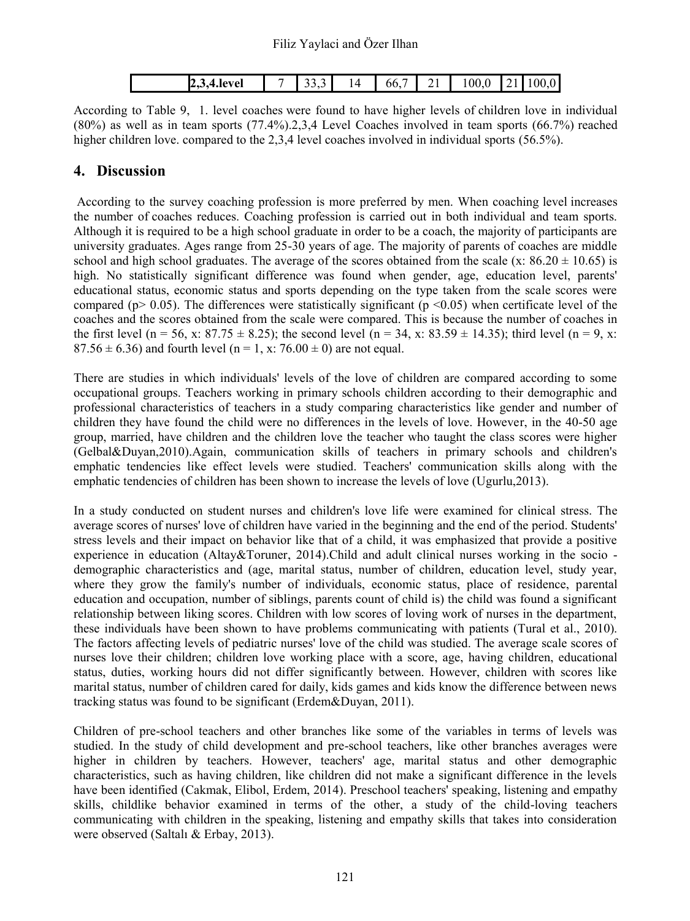| ., | $2,3,4$ .level | $\sim$ $\sim$<br>---- | 14<br>. . | hh<br>$\upsilon\upsilon$ | - -<br>- -<br>-- | $^{\prime\prime}$<br>100.0 | -<br>$\overline{\phantom{a}}$ |  |
|----|----------------|-----------------------|-----------|--------------------------|------------------|----------------------------|-------------------------------|--|

According to Table 9, 1. level coaches were found to have higher levels of children love in individual (80%) as well as in team sports (77.4%).2,3,4 Level Coaches involved in team sports (66.7%) reached higher children love. compared to the 2,3,4 level coaches involved in individual sports (56.5%).

# **4. Discussion**

According to the survey coaching profession is more preferred by men. When coaching level increases the number of coaches reduces. Coaching profession is carried out in both individual and team sports. Although it is required to be a high school graduate in order to be a coach, the majority of participants are university graduates. Ages range from 25-30 years of age. The majority of parents of coaches are middle school and high school graduates. The average of the scores obtained from the scale (x:  $86.20 \pm 10.65$ ) is high. No statistically significant difference was found when gender, age, education level, parents' educational status, economic status and sports depending on the type taken from the scale scores were compared ( $p > 0.05$ ). The differences were statistically significant ( $p \le 0.05$ ) when certificate level of the coaches and the scores obtained from the scale were compared. This is because the number of coaches in the first level (n = 56, x: 87.75  $\pm$  8.25); the second level (n = 34, x: 83.59  $\pm$  14.35); third level (n = 9, x:  $87.56 \pm 6.36$ ) and fourth level (n = 1, x:  $76.00 \pm 0$ ) are not equal.

There are studies in which individuals' levels of the love of children are compared according to some occupational groups. Teachers working in primary schools children according to their demographic and professional characteristics of teachers in a study comparing characteristics like gender and number of children they have found the child were no differences in the levels of love. However, in the 40-50 age group, married, have children and the children love the teacher who taught the class scores were higher (Gelbal&Duyan,2010).Again, communication skills of teachers in primary schools and children's emphatic tendencies like effect levels were studied. Teachers' communication skills along with the emphatic tendencies of children has been shown to increase the levels of love (Ugurlu, 2013).

In a study conducted on student nurses and children's love life were examined for clinical stress. The average scores of nurses' love of children have varied in the beginning and the end of the period. Students' stress levels and their impact on behavior like that of a child, it was emphasized that provide a positive experience in education (Altay&Toruner, 2014).Child and adult clinical nurses working in the socio demographic characteristics and (age, marital status, number of children, education level, study year, where they grow the family's number of individuals, economic status, place of residence, parental education and occupation, number of siblings, parents count of child is) the child was found a significant relationship between liking scores. Children with low scores of loving work of nurses in the department, these individuals have been shown to have problems communicating with patients (Tural et al., 2010). The factors affecting levels of pediatric nurses' love of the child was studied. The average scale scores of nurses love their children; children love working place with a score, age, having children, educational status, duties, working hours did not differ significantly between. However, children with scores like marital status, number of children cared for daily, kids games and kids know the difference between news tracking status was found to be significant (Erdem&Duyan, 2011).

Children of pre-school teachers and other branches like some of the variables in terms of levels was studied. In the study of child development and pre-school teachers, like other branches averages were higher in children by teachers. However, teachers' age, marital status and other demographic characteristics, such as having children, like children did not make a significant difference in the levels have been identified (Cakmak, Elibol, Erdem, 2014). Preschool teachers' speaking, listening and empathy skills, childlike behavior examined in terms of the other, a study of the child-loving teachers communicating with children in the speaking, listening and empathy skills that takes into consideration were observed (Saltalı & Erbay, 2013).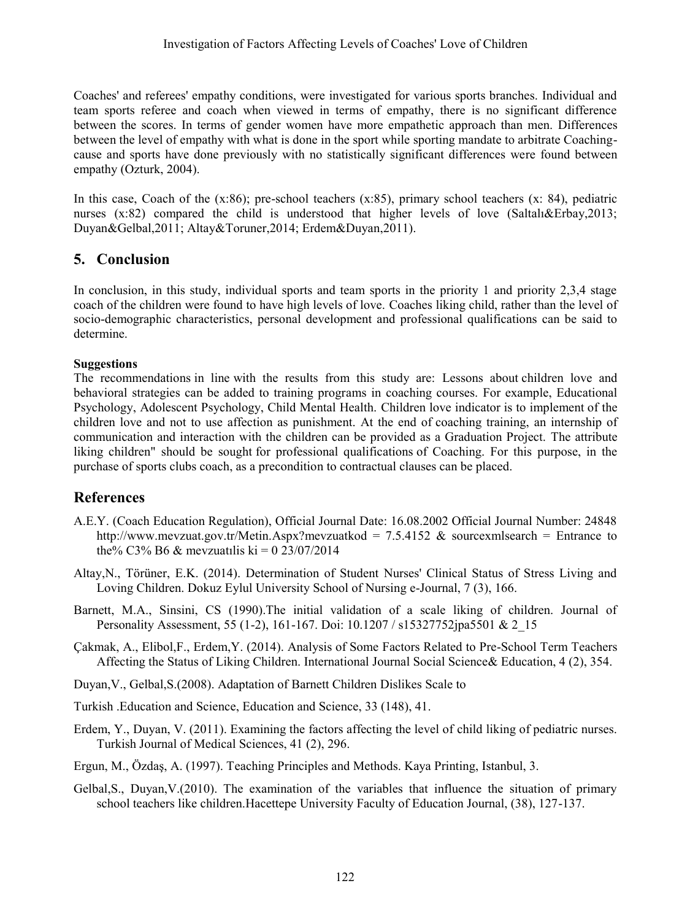Coaches' and referees' empathy conditions, were investigated for various sports branches. Individual and team sports referee and coach when viewed in terms of empathy, there is no significant difference between the scores. In terms of gender women have more empathetic approach than men. Differences between the level of empathy with what is done in the sport while sporting mandate to arbitrate Coachingcause and sports have done previously with no statistically significant differences were found between empathy (Ozturk, 2004).

In this case, Coach of the (x:86); pre-school teachers (x:85), primary school teachers (x: 84), pediatric nurses  $(x:82)$  compared the child is understood that higher levels of love (Saltal $\&$ Erbay,2013; Duyan&Gelbal,2011; Altay&Toruner,2014; Erdem&Duyan,2011).

# **5. Conclusion**

In conclusion, in this study, individual sports and team sports in the priority 1 and priority 2,3,4 stage coach of the children were found to have high levels of love. Coaches liking child, rather than the level of socio-demographic characteristics, personal development and professional qualifications can be said to determine.

### **Suggestions**

The recommendations in line with the results from this study are: Lessons about children love and behavioral strategies can be added to training programs in coaching courses. For example, Educational Psychology, Adolescent Psychology, Child Mental Health. Children love indicator is to implement of the children love and not to use affection as punishment. At the end of coaching training, an internship of communication and interaction with the children can be provided as a Graduation Project. The attribute liking children" should be sought for professional qualifications of Coaching. For this purpose, in the purchase of sports clubs coach, as a precondition to contractual clauses can be placed.

# **References**

- A.E.Y. (Coach Education Regulation), Official Journal Date: 16.08.2002 Official Journal Number: 24848 http://www.mevzuat.gov.tr/Metin.Aspx?mevzuatkod = 7.5.4152 & sourcexmlsearch = Entrance to the% C3% B6 & mevzuatilis ki = 0 23/07/2014
- Altay,N., Törüner, E.K. (2014). Determination of Student Nurses' Clinical Status of Stress Living and Loving Children. Dokuz Eylul University School of Nursing e-Journal, 7 (3), 166.
- Barnett, M.A., Sinsini, CS (1990).The initial validation of a scale liking of children. Journal of Personality Assessment, 55 (1-2), 161-167. Doi: 10.1207 / s15327752jpa5501 & 2\_15
- Çakmak, A., Elibol,F., Erdem,Y. (2014). Analysis of Some Factors Related to Pre-School Term Teachers Affecting the Status of Liking Children. International Journal Social Science& Education, 4 (2), 354.
- Duyan,V., Gelbal,S.(2008). Adaptation of Barnett Children Dislikes Scale to
- Turkish .Education and Science, Education and Science, 33 (148), 41.
- Erdem, Y., Duyan, V. (2011). Examining the factors affecting the level of child liking of pediatric nurses. Turkish Journal of Medical Sciences, 41 (2), 296.
- Ergun, M., Özdaş, A. (1997). Teaching Principles and Methods. Kaya Printing, Istanbul, 3.
- Gelbal,S., Duyan,V.(2010). The examination of the variables that influence the situation of primary school teachers like children.Hacettepe University Faculty of Education Journal, (38), 127-137.